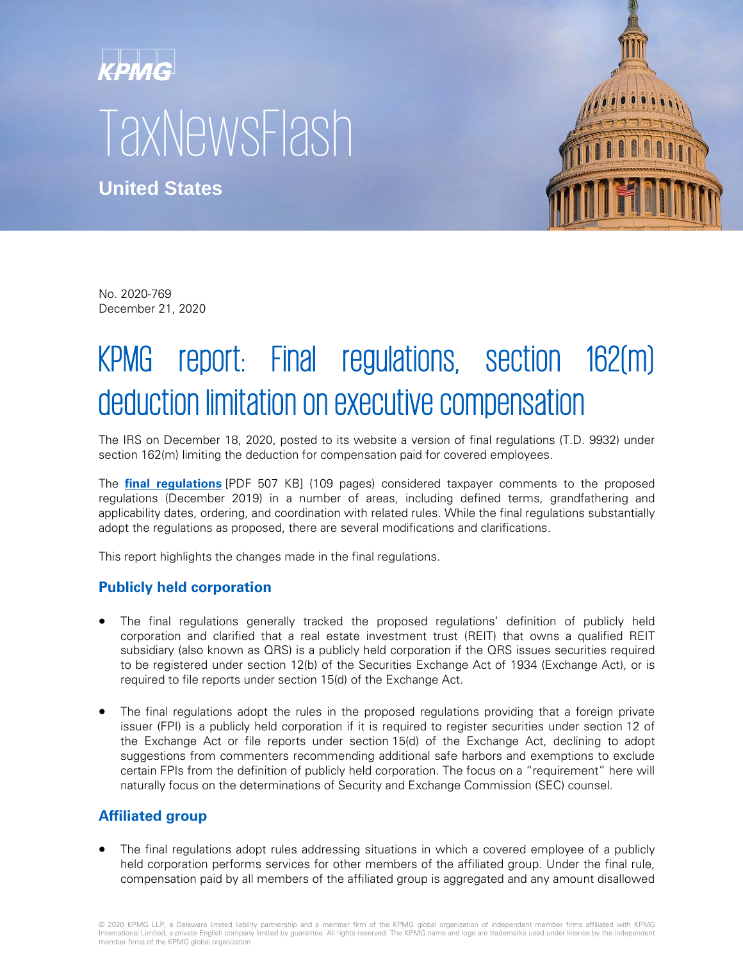# $\kappa$ PMG $\mid$ TaxNewsFlash

**United States**



No. 2020-769 December 21, 2020

# KPMG report: Final regulations, section 162(m) deduction limitation on executive compensation

The IRS on December 18, 2020, posted to its website a version of final regulations (T.D. 9932) under section 162(m) limiting the deduction for compensation paid for covered employees.

The **[final regulations](https://www.irs.gov/pub/irs-drop/td-9932.pdf)** [PDF 507 KB] (109 pages) considered taxpayer comments to the proposed regulations (December 2019) in a number of areas, including defined terms, grandfathering and applicability dates, ordering, and coordination with related rules. While the final regulations substantially adopt the regulations as proposed, there are several modifications and clarifications.

This report highlights the changes made in the final regulations.

# **Publicly held corporation**

- The final regulations generally tracked the proposed regulations' definition of publicly held corporation and clarified that a real estate investment trust (REIT) that owns a qualified REIT subsidiary (also known as QRS) is a publicly held corporation if the QRS issues securities required to be registered under section 12(b) of the Securities Exchange Act of 1934 (Exchange Act), or is required to file reports under section 15(d) of the Exchange Act.
- The final regulations adopt the rules in the proposed regulations providing that a foreign private issuer (FPI) is a publicly held corporation if it is required to register securities under section 12 of the Exchange Act or file reports under section 15(d) of the Exchange Act, declining to adopt suggestions from commenters recommending additional safe harbors and exemptions to exclude certain FPIs from the definition of publicly held corporation. The focus on a "requirement" here will naturally focus on the determinations of Security and Exchange Commission (SEC) counsel.

# **Affiliated group**

The final regulations adopt rules addressing situations in which a covered employee of a publicly held corporation performs services for other members of the affiliated group. Under the final rule, compensation paid by all members of the affiliated group is aggregated and any amount disallowed

© 2020 KPMG LLP, a Delaware limited liability partnership and a member firm of the KPMG global organization of independent member firms affiliated with KPMG<br>International Limited, a private English company limited by guara member firms of the KPMG global organization.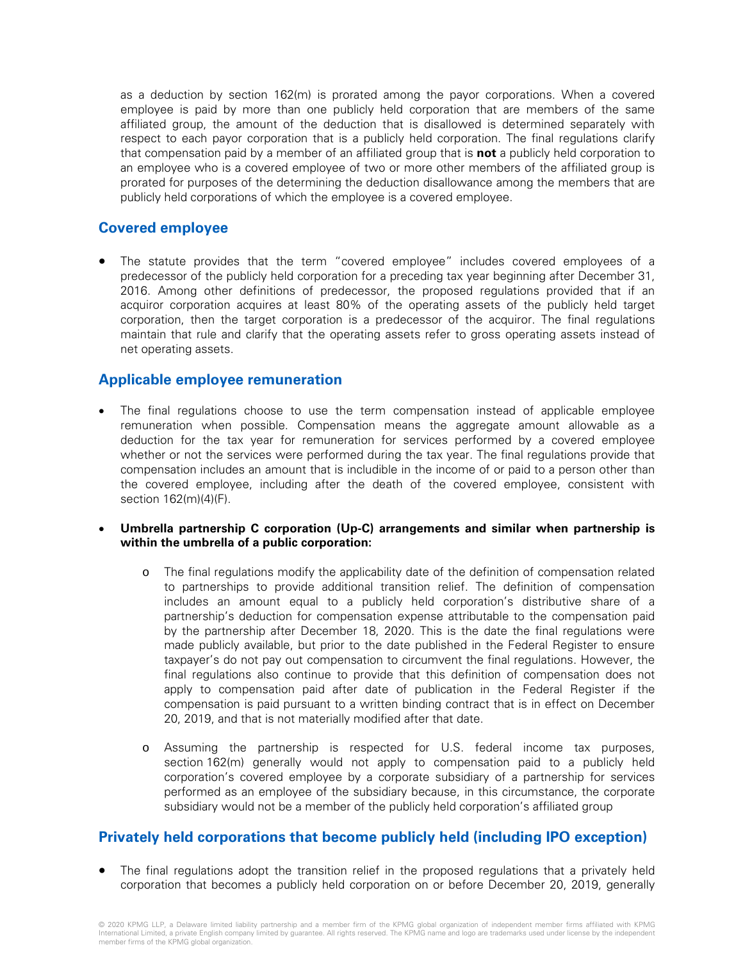as a deduction by section 162(m) is prorated among the payor corporations. When a covered employee is paid by more than one publicly held corporation that are members of the same affiliated group, the amount of the deduction that is disallowed is determined separately with respect to each payor corporation that is a publicly held corporation. The final regulations clarify that compensation paid by a member of an affiliated group that is **not** a publicly held corporation to an employee who is a covered employee of two or more other members of the affiliated group is prorated for purposes of the determining the deduction disallowance among the members that are publicly held corporations of which the employee is a covered employee.

#### **Covered employee**

The statute provides that the term "covered employee" includes covered employees of a predecessor of the publicly held corporation for a preceding tax year beginning after December 31, 2016. Among other definitions of predecessor, the proposed regulations provided that if an acquiror corporation acquires at least 80% of the operating assets of the publicly held target corporation, then the target corporation is a predecessor of the acquiror. The final regulations maintain that rule and clarify that the operating assets refer to gross operating assets instead of net operating assets.

#### **Applicable employee remuneration**

- The final regulations choose to use the term compensation instead of applicable employee remuneration when possible. Compensation means the aggregate amount allowable as a deduction for the tax year for remuneration for services performed by a covered employee whether or not the services were performed during the tax year. The final regulations provide that compensation includes an amount that is includible in the income of or paid to a person other than the covered employee, including after the death of the covered employee, consistent with section 162(m)(4)(F).
- **Umbrella partnership C corporation (Up-C) arrangements and similar when partnership is within the umbrella of a public corporation:** 
	- o The final regulations modify the applicability date of the definition of compensation related to partnerships to provide additional transition relief. The definition of compensation includes an amount equal to a publicly held corporation's distributive share of a partnership's deduction for compensation expense attributable to the compensation paid by the partnership after December 18, 2020. This is the date the final regulations were made publicly available, but prior to the date published in the Federal Register to ensure taxpayer's do not pay out compensation to circumvent the final regulations. However, the final regulations also continue to provide that this definition of compensation does not apply to compensation paid after date of publication in the Federal Register if the compensation is paid pursuant to a written binding contract that is in effect on December 20, 2019, and that is not materially modified after that date.
	- o Assuming the partnership is respected for U.S. federal income tax purposes, section 162(m) generally would not apply to compensation paid to a publicly held corporation's covered employee by a corporate subsidiary of a partnership for services performed as an employee of the subsidiary because, in this circumstance, the corporate subsidiary would not be a member of the publicly held corporation's affiliated group

#### **Privately held corporations that become publicly held (including IPO exception)**

• The final regulations adopt the transition relief in the proposed regulations that a privately held corporation that becomes a publicly held corporation on or before December 20, 2019, generally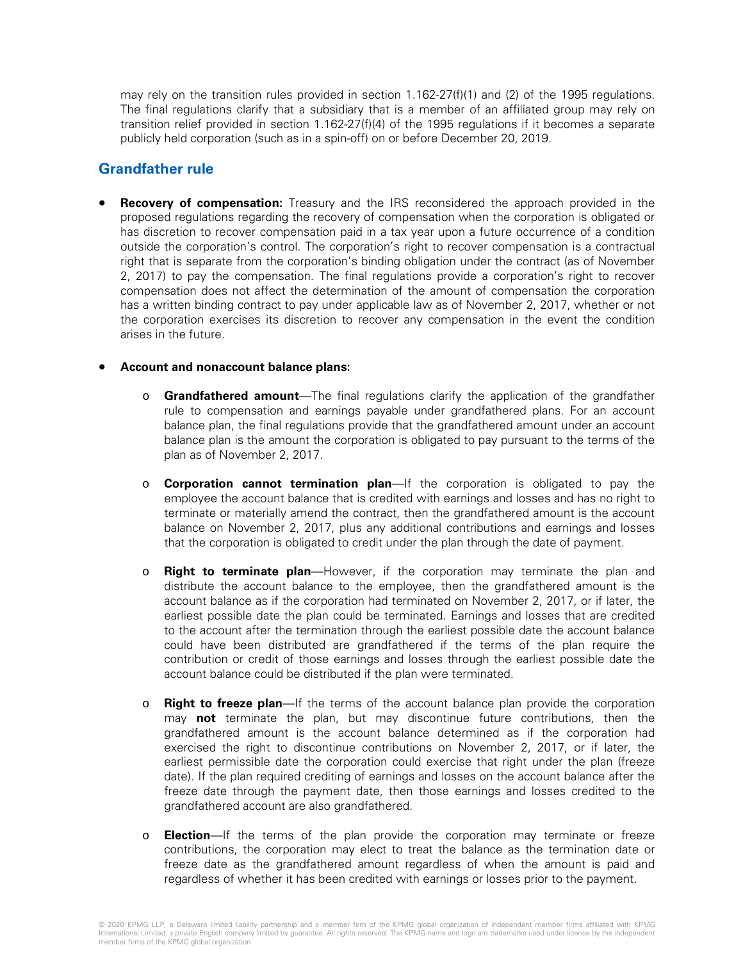may rely on the transition rules provided in section 1.162-27(f)(1) and (2) of the 1995 regulations. The final regulations clarify that a subsidiary that is a member of an affiliated group may rely on transition relief provided in section 1.162-27(f)(4) of the 1995 regulations if it becomes a separate publicly held corporation (such as in a spin-off) on or before December 20, 2019.

#### **Grandfather rule**

**Recovery of compensation:** Treasury and the IRS reconsidered the approach provided in the proposed regulations regarding the recovery of compensation when the corporation is obligated or has discretion to recover compensation paid in a tax year upon a future occurrence of a condition outside the corporation's control. The corporation's right to recover compensation is a contractual right that is separate from the corporation's binding obligation under the contract (as of November 2, 2017) to pay the compensation. The final regulations provide a corporation's right to recover compensation does not affect the determination of the amount of compensation the corporation has a written binding contract to pay under applicable law as of November 2, 2017, whether or not the corporation exercises its discretion to recover any compensation in the event the condition arises in the future.

#### • **Account and nonaccount balance plans:**

- o **Grandfathered amount**—The final regulations clarify the application of the grandfather rule to compensation and earnings payable under grandfathered plans. For an account balance plan, the final regulations provide that the grandfathered amount under an account balance plan is the amount the corporation is obligated to pay pursuant to the terms of the plan as of November 2, 2017.
- o **Corporation cannot termination plan**—If the corporation is obligated to pay the employee the account balance that is credited with earnings and losses and has no right to terminate or materially amend the contract, then the grandfathered amount is the account balance on November 2, 2017, plus any additional contributions and earnings and losses that the corporation is obligated to credit under the plan through the date of payment.
- o **Right to terminate plan**—However, if the corporation may terminate the plan and distribute the account balance to the employee, then the grandfathered amount is the account balance as if the corporation had terminated on November 2, 2017, or if later, the earliest possible date the plan could be terminated. Earnings and losses that are credited to the account after the termination through the earliest possible date the account balance could have been distributed are grandfathered if the terms of the plan require the contribution or credit of those earnings and losses through the earliest possible date the account balance could be distributed if the plan were terminated.
- o **Right to freeze plan**—If the terms of the account balance plan provide the corporation may **not** terminate the plan, but may discontinue future contributions, then the grandfathered amount is the account balance determined as if the corporation had exercised the right to discontinue contributions on November 2, 2017, or if later, the earliest permissible date the corporation could exercise that right under the plan (freeze date). If the plan required crediting of earnings and losses on the account balance after the freeze date through the payment date, then those earnings and losses credited to the grandfathered account are also grandfathered.
- **Election**—If the terms of the plan provide the corporation may terminate or freeze contributions, the corporation may elect to treat the balance as the termination date or freeze date as the grandfathered amount regardless of when the amount is paid and regardless of whether it has been credited with earnings or losses prior to the payment.

<sup>© 2020</sup> KPMG LLP, a Delaware limited liability partnership and a member firm of the KPMG global organization of independent member firms affiliated with KPMG<br>International Limited, a private English company limited by guara member firms of the KPMG global organization.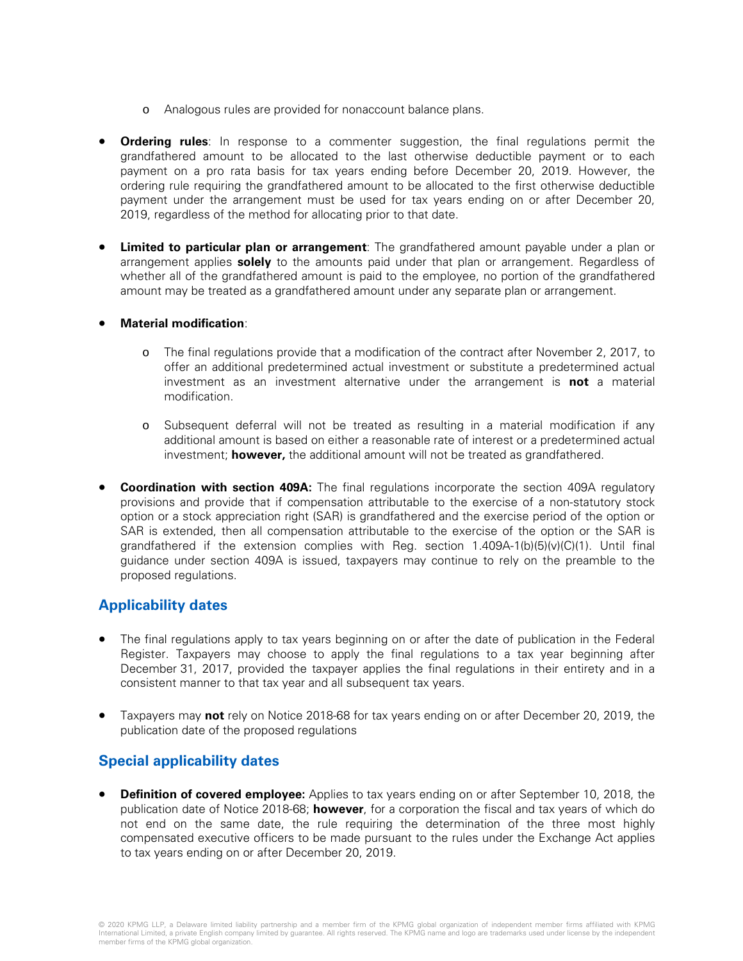- o Analogous rules are provided for nonaccount balance plans.
- **Ordering rules**: In response to a commenter suggestion, the final regulations permit the grandfathered amount to be allocated to the last otherwise deductible payment or to each payment on a pro rata basis for tax years ending before December 20, 2019. However, the ordering rule requiring the grandfathered amount to be allocated to the first otherwise deductible payment under the arrangement must be used for tax years ending on or after December 20, 2019, regardless of the method for allocating prior to that date.
- **Limited to particular plan or arrangement**: The grandfathered amount payable under a plan or arrangement applies **solely** to the amounts paid under that plan or arrangement. Regardless of whether all of the grandfathered amount is paid to the employee, no portion of the grandfathered amount may be treated as a grandfathered amount under any separate plan or arrangement.

#### • **Material modification**:

- o The final regulations provide that a modification of the contract after November 2, 2017, to offer an additional predetermined actual investment or substitute a predetermined actual investment as an investment alternative under the arrangement is **not** a material modification.
- Subsequent deferral will not be treated as resulting in a material modification if any additional amount is based on either a reasonable rate of interest or a predetermined actual investment; **however,** the additional amount will not be treated as grandfathered.
- **Coordination with section 409A:** The final regulations incorporate the section 409A regulatory provisions and provide that if compensation attributable to the exercise of a non-statutory stock option or a stock appreciation right (SAR) is grandfathered and the exercise period of the option or SAR is extended, then all compensation attributable to the exercise of the option or the SAR is grandfathered if the extension complies with Reg. section  $1.409A-1(b)(5)(v)(C)(1)$ . Until final guidance under section 409A is issued, taxpayers may continue to rely on the preamble to the proposed regulations.

## **Applicability dates**

- The final regulations apply to tax years beginning on or after the date of publication in the Federal Register. Taxpayers may choose to apply the final regulations to a tax year beginning after December 31, 2017, provided the taxpayer applies the final regulations in their entirety and in a consistent manner to that tax year and all subsequent tax years.
- Taxpayers may **not** rely on Notice 2018-68 for tax years ending on or after December 20, 2019, the publication date of the proposed regulations

## **Special applicability dates**

**Definition of covered employee:** Applies to tax years ending on or after September 10, 2018, the publication date of Notice 2018-68; **however**, for a corporation the fiscal and tax years of which do not end on the same date, the rule requiring the determination of the three most highly compensated executive officers to be made pursuant to the rules under the Exchange Act applies to tax years ending on or after December 20, 2019.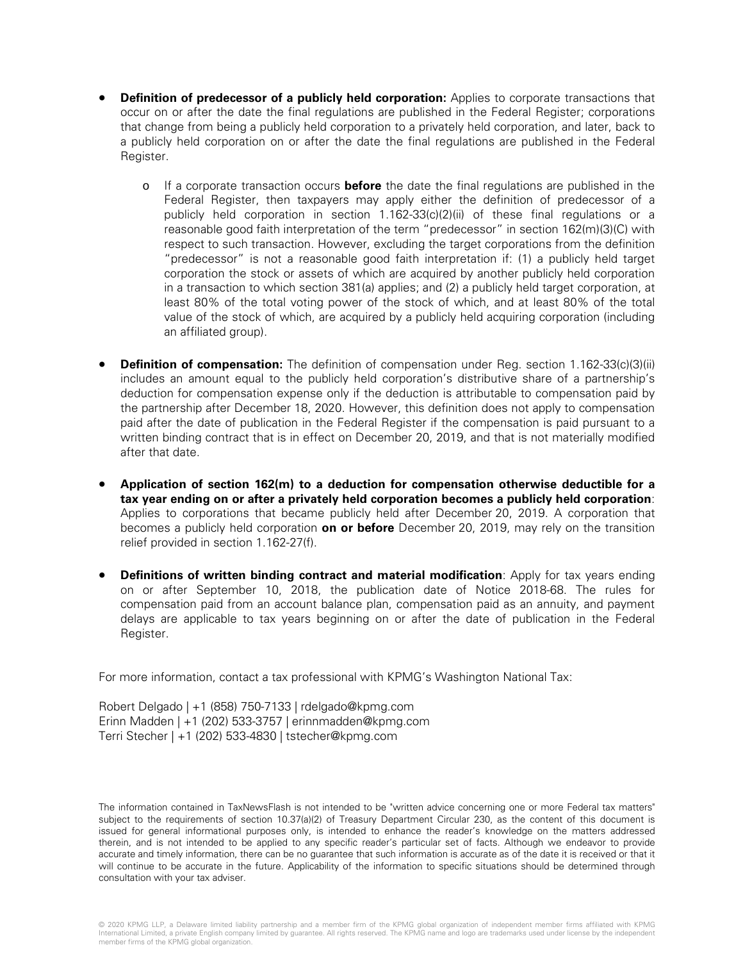- **Definition of predecessor of a publicly held corporation:** Applies to corporate transactions that occur on or after the date the final regulations are published in the Federal Register; corporations that change from being a publicly held corporation to a privately held corporation, and later, back to a publicly held corporation on or after the date the final regulations are published in the Federal Register.
	- o If a corporate transaction occurs **before** the date the final regulations are published in the Federal Register, then taxpayers may apply either the definition of predecessor of a publicly held corporation in section 1.162-33(c)(2)(ii) of these final regulations or a reasonable good faith interpretation of the term "predecessor" in section 162(m)(3)(C) with respect to such transaction. However, excluding the target corporations from the definition "predecessor" is not a reasonable good faith interpretation if: (1) a publicly held target corporation the stock or assets of which are acquired by another publicly held corporation in a transaction to which section 381(a) applies; and (2) a publicly held target corporation, at least 80% of the total voting power of the stock of which, and at least 80% of the total value of the stock of which, are acquired by a publicly held acquiring corporation (including an affiliated group).
- **Definition of compensation:** The definition of compensation under Reg. section 1.162-33(c)(3)(ii) includes an amount equal to the publicly held corporation's distributive share of a partnership's deduction for compensation expense only if the deduction is attributable to compensation paid by the partnership after December 18, 2020. However, this definition does not apply to compensation paid after the date of publication in the Federal Register if the compensation is paid pursuant to a written binding contract that is in effect on December 20, 2019, and that is not materially modified after that date.
- **Application of section 162(m) to a deduction for compensation otherwise deductible for a tax year ending on or after a privately held corporation becomes a publicly held corporation**: Applies to corporations that became publicly held after December 20, 2019. A corporation that becomes a publicly held corporation **on or before** December 20, 2019, may rely on the transition relief provided in section 1.162-27(f).
- **Definitions of written binding contract and material modification**: Apply for tax years ending on or after September 10, 2018, the publication date of Notice 2018-68. The rules for compensation paid from an account balance plan, compensation paid as an annuity, and payment delays are applicable to tax years beginning on or after the date of publication in the Federal Register.

For more information, contact a tax professional with KPMG's Washington National Tax:

Robert Delgado | +1 (858) 750-7133 | rdelgado@kpmg.com Erinn Madden | +1 (202) 533-3757 | erinnmadden@kpmg.com Terri Stecher | +1 (202) 533-4830 | tstecher@kpmg.com

The information contained in TaxNewsFlash is not intended to be "written advice concerning one or more Federal tax matters" subject to the requirements of section 10.37(a)(2) of Treasury Department Circular 230, as the content of this document is issued for general informational purposes only, is intended to enhance the reader's knowledge on the matters addressed therein, and is not intended to be applied to any specific reader's particular set of facts. Although we endeavor to provide accurate and timely information, there can be no guarantee that such information is accurate as of the date it is received or that it will continue to be accurate in the future. Applicability of the information to specific situations should be determined through consultation with your tax adviser.

<sup>© 2020</sup> KPMG LLP, a Delaware limited liability partnership and a member firm of the KPMG global organization of independent member firms affiliated with KPMG<br>International Limited, a private English company limited by guara member firms of the KPMG global organization.